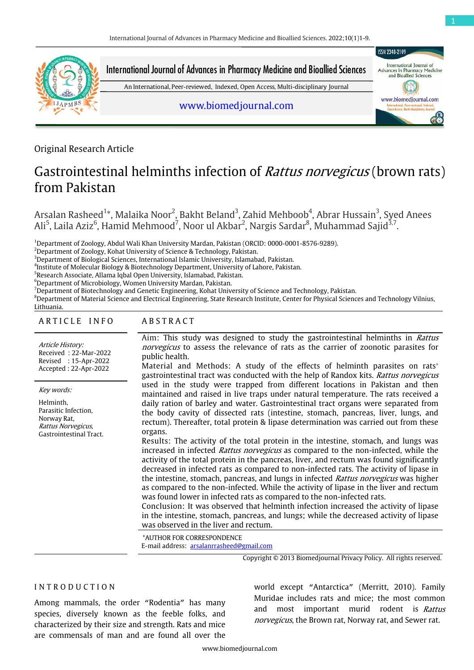

Original Research Article

# Gastrointestinal helminths infection of *Rattus norvegicus* (brown rats) from Pakistan

Arsalan Rasheed<sup>1</sup>\*, Malaika Noor<sup>2</sup>, Bakht Beland<sup>3</sup>, Zahid Mehboob<sup>4</sup>, Abrar Hussain<sup>3</sup>, Syed Anees Ali<sup>5</sup>, Laila Aziz<sup>6</sup>, Hamid Mehmood<sup>7</sup>, Noor ul Akbar<sup>2</sup>, Nargis Sardar<sup>8</sup>, Muhammad Sajid<sup>3,7</sup>.

1 Department of Zoology, Abdul Wali Khan University Mardan, Pakistan (ORCID: 0000-0001-8576-9289).

 $^2$ Department of Zoology, Kohat University of Science & Technology, Pakistan.

 $^3$ Department of Biological Sciences, International Islamic University, Islamabad, Pakistan.

<sup>4</sup>Institute of Molecular Biology & Biotechnology Department, University of Lahore, Pakistan.

 $^6$ Department of Microbiology, Women University Mardan, Pakistan.

7 Department of Biotechnology and Genetic Engineering, Kohat University of Science and Technology, Pakistan.

<sup>8</sup>Department of Material Science and Electrical Engineering, State Research Institute, Center for Physical Sciences and Technology Vilnius,

# Lithuania.

#### ARTICLE INFO ABSTRACT

Article History: Received : 22-Mar-2022 Revised : 15-Apr-2022 Accepted : 22-Apr-2022

Key words:

Helminth, Parasitic Infection, Norway Rat, Rattus Norvegicus, Gastrointestinal Tract. Aim: This study was designed to study the gastrointestinal helminths in Rattus norvegicus to assess the relevance of rats as the carrier of zoonotic parasites for public health.

Material and Methods: A study of the effects of helminth parasites on rats' gastrointestinal tract was conducted with the help of Randox kits. Rattus norvegicus used in the study were trapped from different locations in Pakistan and then maintained and raised in live traps under natural temperature. The rats received a daily ration of barley and water. Gastrointestinal tract organs were separated from the body cavity of dissected rats (intestine, stomach, pancreas, liver, lungs, and rectum). Thereafter, total protein & lipase determination was carried out from these organs.

Results: The activity of the total protein in the intestine, stomach, and lungs was increased in infected *Rattus norvegicus* as compared to the non-infected, while the activity of the total protein in the pancreas, liver, and rectum was found significantly decreased in infected rats as compared to non-infected rats. The activity of lipase in the intestine, stomach, pancreas, and lungs in infected Rattus norvegicus was higher as compared to the non-infected. While the activity of lipase in the liver and rectum was found lower in infected rats as compared to the non-infected rats.

Conclusion: It was observed that helminth infection increased the activity of lipase in the intestine, stomach, pancreas, and lungs; while the decreased activity of lipase was observed in the liver and rectum.

\*AUTHOR FOR CORRESPONDENCE E-mail address: [arsalanrrasheed@gmail.com](mailto:arsalanrrasheed@gmail.com)

Copyright © 2013 Biomedjournal Privacy Policy. All rights reserved.

# I N T R O D U C T I O N

Among mammals, the order "Rodentia" has many species, diversely known as the feeble folks, and characterized by their size and strength. Rats and mice are commensals of man and are found all over the

world except "Antarctica" (Merritt, 2010). Family Muridae includes rats and mice; the most common and most important murid rodent is Rattus norvegicus, the Brown rat, Norway rat, and Sewer rat.

<sup>&</sup>lt;sup>5</sup>Research Associate, Allama Iqbal Open University, Islamabad, Pakistan.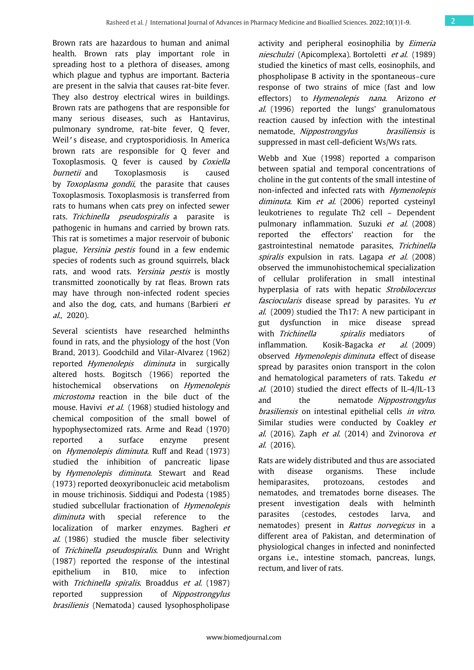Brown rats are hazardous to human and animal health. Brown rats play important role in spreading host to a plethora of diseases, among which plague and typhus are important. Bacteria are present in the salvia that causes rat-bite fever. They also destroy electrical wires in buildings. Brown rats are pathogens that are responsible for many serious diseases, such as Hantavirus, pulmonary syndrome, rat-bite fever, Q fever, Weil's disease, and cryptosporidiosis. In America brown rats are responsible for Q fever and Toxoplasmosis. O fever is caused by Coxiella burnetii and Toxoplasmosis is caused by Toxoplasma gondii, the parasite that causes Toxoplasmosis. Toxoplasmosis is transferred from rats to humans when cats prey on infected sewer rats. Trichinella pseudospiralis a parasite is pathogenic in humans and carried by brown rats. This rat is sometimes a major reservoir of bubonic plague, Yersinia pestis found in a few endemic species of rodents such as ground squirrels, black rats, and wood rats. Yersinia pestis is mostly transmitted zoonotically by rat fleas. Brown rats may have through non-infected rodent species and also the dog, cats, and humans (Barbieri et al., 2020).

Several scientists have researched helminths found in rats, and the physiology of the host (Von Brand, 2013). Goodchild and Vilar-Alvarez (1962) reported Hymenolepis diminuta in surgically altered hosts. Bogitsch (1966) reported the histochemical observations on *Hymenolepis* microstoma reaction in the bile duct of the mouse. Havivi et al. (1968) studied histology and chemical composition of the small bowel of hypophysectomized rats. Arme and Read (1970) reported a surface enzyme present on Hymenolepis diminuta. Ruff and Read (1973) studied the inhibition of pancreatic lipase by Hymenolepis diminuta. Stewart and Read (1973) reported deoxyribonucleic acid metabolism in mouse trichinosis. Siddiqui and Podesta (1985) studied subcellular fractionation of Hymenolepis diminuta with special reference to the localization of marker enzymes. Bagheri et al. (1986) studied the muscle fiber selectivity of Trichinella pseudospiralis. Dunn and Wright (1987) reported the response of the intestinal epithelium in B10, mice to infection with Trichinella spiralis. Broaddus et al. (1987) reported suppression of Nippostrongylus brasilienis (Nematoda) caused lysophospholipase

activity and peripheral eosinophilia by Eimeria nieschulzi (Apicomplexa). Bortoletti et al. (1989) studied the kinetics of mast cells, eosinophils, and phospholipase B activity in the spontaneous–cure response of two strains of mice (fast and low effectors) to *Hymenolepis nana*. Arizono et  $al.$  (1996) reported the lungs' granulomatous reaction caused by infection with the intestinal nematode, *Nippostrongylus* brasiliensis is suppressed in mast cell-deficient Ws/Ws rats.

Webb and Xue (1998) reported a comparison between spatial and temporal concentrations of choline in the gut contents of the small intestine of non-infected and infected rats with Hymenolepis diminuta. Kim et al. (2006) reported cysteinyl leukotrienes to regulate Th2 cell – Dependent pulmonary inflammation. Suzuki et al. (2008) reported the effectors' reaction for the gastrointestinal nematode parasites, Trichinella spiralis expulsion in rats. Lagapa et al. (2008) observed the immunohistochemical specialization of cellular proliferation in small intestinal hyperplasia of rats with hepatic Strobilocercus fasciocularis disease spread by parasites. Yu et al. (2009) studied the Th17: A new participant in gut dysfunction in mice disease spread with Trichinella *spiralis* mediators of inflammation. Kosik-Bagacka  $et$  al. (2009) observed Hymenolepis diminuta effect of disease spread by parasites onion transport in the colon and hematological parameters of rats. Takedu et al. (2010) studied the direct effects of IL-4/IL-13 and the nematode Nippostrongylus brasiliensis on intestinal epithelial cells in vitro. Similar studies were conducted by Coakley et  $al.$  (2016). Zaph et  $al.$  (2014) and Zvinorova et al. (2016).

Rats are widely distributed and thus are associated with disease organisms. These include hemiparasites, protozoans, cestodes and nematodes, and trematodes borne diseases. The present investigation deals with helminth parasites (cestodes, cestodes larva, and nematodes) present in Rattus norvegicus in a different area of Pakistan, and determination of physiological changes in infected and noninfected organs i.e., intestine stomach, pancreas, lungs, rectum, and liver of rats.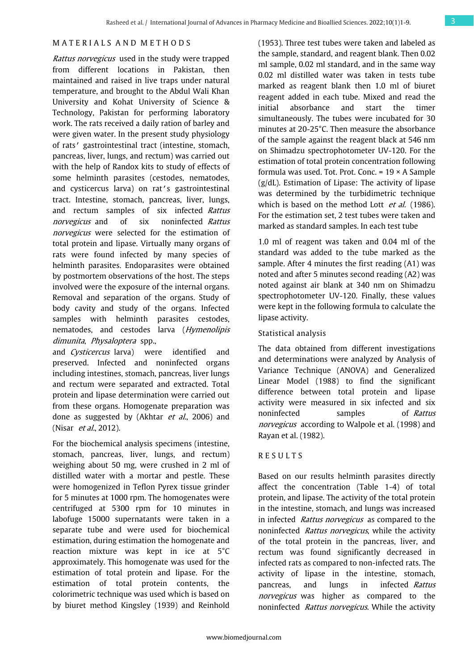# M A T E R I A L S A N D M E T H O D S

Rattus norvegicus used in the study were trapped from different locations in Pakistan, then maintained and raised in live traps under natural temperature, and brought to the Abdul Wali Khan University and Kohat University of Science & Technology, Pakistan for performing laboratory work. The rats received a daily ration of barley and were given water. In the present study physiology of rats' gastrointestinal tract (intestine, stomach, pancreas, liver, lungs, and rectum) was carried out with the help of Randox kits to study of effects of some helminth parasites (cestodes, nematodes, and cysticercus larva) on rat's gastrointestinal tract. Intestine, stomach, pancreas, liver, lungs, and rectum samples of six infected Rattus norvegicus and of six noninfected Rattus norvegicus were selected for the estimation of total protein and lipase. Virtually many organs of rats were found infected by many species of helminth parasites. Endoparasites were obtained by postmortem observations of the host. The steps involved were the exposure of the internal organs. Removal and separation of the organs. Study of body cavity and study of the organs. Infected samples with helminth parasites cestodes, nematodes, and cestodes larva (Hymenolipis dimunita, Physaloptera spp.,

and Cysticercus larva) were identified and preserved. Infected and noninfected organs including intestines, stomach, pancreas, liver lungs and rectum were separated and extracted. Total protein and lipase determination were carried out from these organs. Homogenate preparation was done as suggested by (Akhtar et al., 2006) and (Nisar *et al.*, 2012).

For the biochemical analysis specimens (intestine, stomach, pancreas, liver, lungs, and rectum) weighing about 50 mg, were crushed in 2 ml of distilled water with a mortar and pestle. These were homogenized in Teflon Pyrex tissue grinder for 5 minutes at 1000 rpm. The homogenates were centrifuged at 5300 rpm for 10 minutes in labofuge 15000 supernatants were taken in a separate tube and were used for biochemical estimation, during estimation the homogenate and reaction mixture was kept in ice at 5°C approximately. This homogenate was used for the estimation of total protein and lipase. For the estimation of total protein contents, the colorimetric technique was used which is based on by biuret method Kingsley (1939) and Reinhold

(1953). Three test tubes were taken and labeled as the sample, standard, and reagent blank. Then 0.02 ml sample, 0.02 ml standard, and in the same way 0.02 ml distilled water was taken in tests tube marked as reagent blank then 1.0 ml of biuret reagent added in each tube. Mixed and read the initial absorbance and start the timer simultaneously. The tubes were incubated for 30 minutes at 20-25°C. Then measure the absorbance of the sample against the reagent black at 546 nm on Shimadzu spectrophotometer UV-120. For the estimation of total protein concentration following formula was used. Tot. Prot. Conc.  $= 19 \times A$  Sample  $(g/dL)$ . Estimation of Lipase: The activity of lipase was determined by the turbidimetric technique which is based on the method Lott et al. (1986). For the estimation set, 2 test tubes were taken and marked as standard samples. In each test tube

1.0 ml of reagent was taken and 0.04 ml of the standard was added to the tube marked as the sample. After 4 minutes the first reading (A1) was noted and after 5 minutes second reading (A2) was noted against air blank at 340 nm on Shimadzu spectrophotometer UV-120. Finally, these values were kept in the following formula to calculate the lipase activity.

#### Statistical analysis

The data obtained from different investigations and determinations were analyzed by Analysis of Variance Technique (ANOVA) and Generalized Linear Model (1988) to find the significant difference between total protein and lipase activity were measured in six infected and six noninfected samples of Rattus norvegicus according to Walpole et al. (1998) and Rayan et al. (1982).

# R E S U L T S

Based on our results helminth parasites directly affect the concentration (Table 1-4) of total protein, and lipase. The activity of the total protein in the intestine, stomach, and lungs was increased in infected *Rattus norvegicus* as compared to the noninfected *Rattus norvegicus*, while the activity of the total protein in the pancreas, liver, and rectum was found significantly decreased in infected rats as compared to non-infected rats. The activity of lipase in the intestine, stomach, pancreas, and lungs in infected Rattus norvegicus was higher as compared to the noninfected Rattus norvegicus. While the activity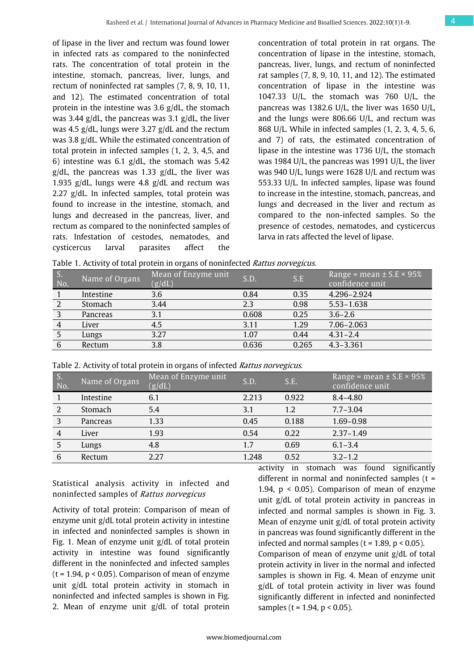of lipase in the liver and rectum was found lower in infected rats as compared to the noninfected rats. The concentration of total protein in the intestine, stomach, pancreas, liver, lungs, and rectum of noninfected rat samples (7, 8, 9, 10, 11, and 12). The estimated concentration of total protein in the intestine was 3.6 g/dL, the stomach was 3.44 g/dL, the pancreas was 3.1 g/dL, the liver was 4.5 g/dL, lungs were 3.27 g/dL and the rectum was 3.8 g/dL. While the estimated concentration of total protein in infected samples (1, 2, 3, 4,5, and 6) intestine was 6.1  $g/dL$ , the stomach was 5.42  $g/dL$ , the pancreas was 1.33  $g/dL$ , the liver was 1.935 g/dL, lungs were 4.8 g/dL and rectum was 2.27 g/dL. In infected samples, total protein was found to increase in the intestine, stomach, and lungs and decreased in the pancreas, liver, and rectum as compared to the noninfected samples of rats. Infestation of cestodes, nematodes, and cysticercus larval parasites affect the

concentration of total protein in rat organs. The concentration of lipase in the intestine, stomach, pancreas, liver, lungs, and rectum of noninfected rat samples (7, 8, 9, 10, 11, and 12). The estimated concentration of lipase in the intestine was 1047.33 U/L, the stomach was 760 U/L, the pancreas was 1382.6 U/L, the liver was 1650 U/L, and the lungs were 806.66 U/L, and rectum was 868 U/L. While in infected samples (1, 2, 3, 4, 5, 6, and 7) of rats, the estimated concentration of lipase in the intestine was 1736 U/L, the stomach was 1984 U/L, the pancreas was 1991 U/L, the liver was 940 U/L, lungs were 1628 U/L and rectum was 553.33 U/L. In infected samples, lipase was found to increase in the intestine, stomach, pancreas, and lungs and decreased in the liver and rectum as compared to the non-infected samples. So the presence of cestodes, nematodes, and cysticercus larva in rats affected the level of lipase.

Table 1. Activity of total protein in organs of noninfected *Rattus norvegicus*.

| D.<br>No. | Name of Organs | Mean of Enzyme unit<br>(g/dL) | S.D.  | S.E   | Range = mean $\pm$ S.E $\times$ 95%<br>confidence unit |
|-----------|----------------|-------------------------------|-------|-------|--------------------------------------------------------|
|           | Intestine      | 3.6                           | 0.84  | 0.35  | 4.296-2.924                                            |
|           | Stomach        | 3.44                          | 2.3   | 0.98  | $5.53 - 1.638$                                         |
|           | Pancreas       | 3.1                           | 0.608 | 0.25  | $3.6 - 2.6$                                            |
|           | Liver          | 4.5                           | 3.11  | 1.29  | $7.06 - 2.063$                                         |
|           | Lungs          | 3.27                          | 1.07  | 0.44  | $4.31 - 2.4$                                           |
|           | Rectum         | 3.8                           | 0.636 | 0.265 | $4.3 - 3.361$                                          |

Table 2. Activity of total protein in organs of infected *Rattus norvegicus*.

| S.<br>No. | Name of Organs | Mean of Enzyme unit<br>(g/dL) | S.D.  | S.E.  | Range = mean $\pm$ S.E $\times$ 95%<br>confidence unit |
|-----------|----------------|-------------------------------|-------|-------|--------------------------------------------------------|
|           | Intestine      | 6.1                           | 2.213 | 0.922 | $8.4 - 4.80$                                           |
|           | Stomach        | 5.4                           | 3.1   | 1.2   | $7.7 - 3.04$                                           |
|           | Pancreas       | 1.33                          | 0.45  | 0.188 | $1.69 - 0.98$                                          |
|           | Liver          | 1.93                          | 0.54  | 0.22  | $2.37 - 1.49$                                          |
| 5         | Lungs          | 4.8                           | 1.7   | 0.69  | $6.1 - 3.4$                                            |
| 6         | Rectum         | 2.27                          | 1.248 | 0.52  | $3.2 - 1.2$                                            |

Statistical analysis activity in infected and noninfected samples of Rattus norvegicus

Activity of total protein: Comparison of mean of enzyme unit g/dL total protein activity in intestine in infected and noninfected samples is shown in Fig. 1. Mean of enzyme unit g/dL of total protein activity in intestine was found significantly different in the noninfected and infected samples  $(t = 1.94, p < 0.05)$ . Comparison of mean of enzyme unit g/dL total protein activity in stomach in noninfected and infected samples is shown in Fig. 2. Mean of enzyme unit g/dL of total protein

activity in stomach was found significantly different in normal and noninfected samples (t = 1.94,  $p < 0.05$ ). Comparison of mean of enzyme unit g/dL of total protein activity in pancreas in infected and normal samples is shown in Fig. 3. Mean of enzyme unit g/dL of total protein activity in pancreas was found significantly different in the infected and normal samples ( $t = 1.89$ ,  $p < 0.05$ ). Comparison of mean of enzyme unit g/dL of total protein activity in liver in the normal and infected samples is shown in Fig. 4. Mean of enzyme unit g/dL of total protein activity in liver was found

significantly different in infected and noninfected

samples ( $t = 1.94$ ,  $p < 0.05$ ).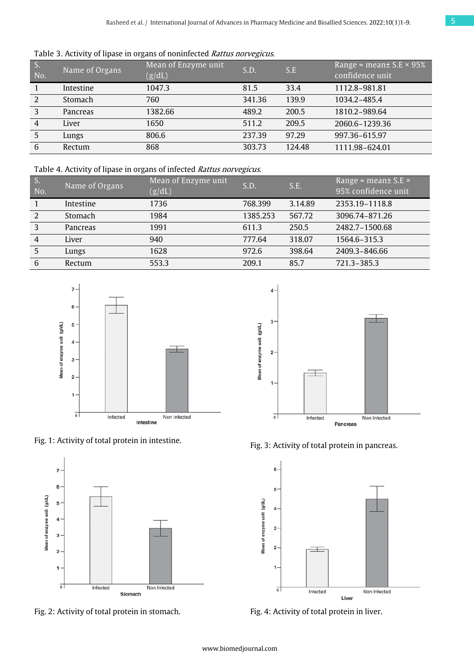Table 3. Activity of lipase in organs of noninfected Rattus norvegicus.

| S.<br>No.      | Name of Organs  | Mean of Enzyme unit<br>(g/dL) | S.D.   | S.E    | Range = mean $\pm$ S.E $\times$ 95%<br>confidence unit |
|----------------|-----------------|-------------------------------|--------|--------|--------------------------------------------------------|
|                | Intestine       | 1047.3                        | 81.5   | 33.4   | 1112.8-981.81                                          |
| 2              | Stomach         | 760                           | 341.36 | 139.9  | 1034.2-485.4                                           |
| 3              | <b>Pancreas</b> | 1382.66                       | 489.2  | 200.5  | 1810.2-989.64                                          |
| $\overline{4}$ | Liver           | 1650                          | 511.2  | 209.5  | 2060.6-1239.36                                         |
| 5              | Lungs           | 806.6                         | 237.39 | 97.29  | 997.36-615.97                                          |
| 6              | Rectum          | 868                           | 303.73 | 124.48 | 1111.98-624.01                                         |

Table 4. Activity of lipase in organs of infected Rattus norvegicus.

| S.<br>No.      | Name of Organs  | Mean of Enzyme unit<br>(g/dL) | S.D.     | S.E.    | Range = mean $\pm$ S.E $\times$<br>95% confidence unit |
|----------------|-----------------|-------------------------------|----------|---------|--------------------------------------------------------|
|                | Intestine       | 1736                          | 768.399  | 3.14.89 | 2353.19-1118.8                                         |
| 2              | Stomach         | 1984                          | 1385.253 | 567.72  | 3096.74-871.26                                         |
| 3              | <b>Pancreas</b> | 1991                          | 611.3    | 250.5   | 2482.7-1500.68                                         |
| $\overline{4}$ | Liver           | 940                           | 777.64   | 318.07  | 1564.6-315.3                                           |
| 5              | Lungs           | 1628                          | 972.6    | 398.64  | 2409.3-846.66                                          |
| 6              | Rectum          | 553.3                         | 209.1    | 85.7    | 721.3-385.3                                            |



Fig. 1: Activity of total protein in intestine.







Fig. 3: Activity of total protein in pancreas.



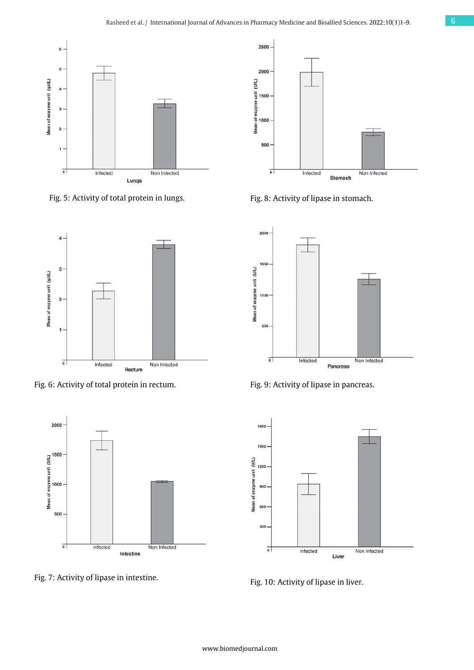

Fig. 5: Activity of total protein in lungs.



Fig. 6: Activity of total protein in rectum.



Fig. 7: Activity of lipase in intestine.



Fig. 8: Activity of lipase in stomach.



Fig. 9: Activity of lipase in pancreas.



Fig. 10: Activity of lipase in liver.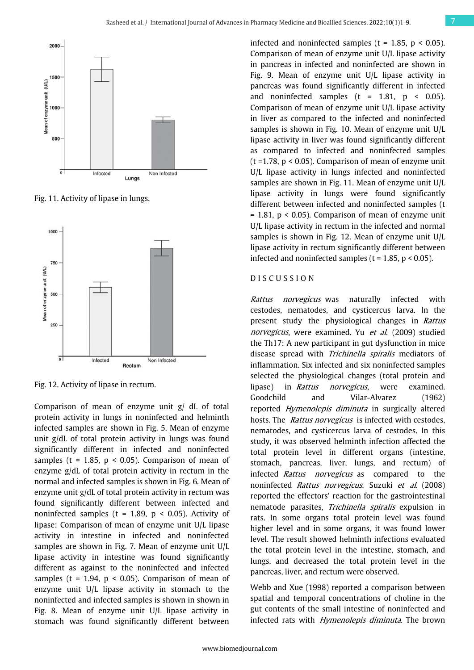

Fig. 11. Activity of lipase in lungs.



Fig. 12. Activity of lipase in rectum.

Comparison of mean of enzyme unit g/ dL of total protein activity in lungs in noninfected and helminth infected samples are shown in Fig. 5. Mean of enzyme unit g/dL of total protein activity in lungs was found significantly different in infected and noninfected samples ( $t = 1.85$ ,  $p < 0.05$ ). Comparison of mean of enzyme g/dL of total protein activity in rectum in the normal and infected samples is shown in Fig. 6. Mean of enzyme unit g/dL of total protein activity in rectum was found significantly different between infected and noninfected samples ( $t = 1.89$ ,  $p < 0.05$ ). Activity of lipase: Comparison of mean of enzyme unit U/L lipase activity in intestine in infected and noninfected samples are shown in Fig. 7. Mean of enzyme unit U/L lipase activity in intestine was found significantly different as against to the noninfected and infected samples ( $t = 1.94$ ,  $p < 0.05$ ). Comparison of mean of enzyme unit U/L lipase activity in stomach to the noninfected and infected samples is shown in shown in Fig. 8. Mean of enzyme unit U/L lipase activity in stomach was found significantly different between

infected and noninfected samples ( $t = 1.85$ ,  $p < 0.05$ ). Comparison of mean of enzyme unit U/L lipase activity in pancreas in infected and noninfected are shown in Fig. 9. Mean of enzyme unit U/L lipase activity in pancreas was found significantly different in infected and noninfected samples ( $t = 1.81$ ,  $p \le 0.05$ ). Comparison of mean of enzyme unit U/L lipase activity in liver as compared to the infected and noninfected samples is shown in Fig. 10. Mean of enzyme unit U/L lipase activity in liver was found significantly different as compared to infected and noninfected samples ( $t = 1.78$ ,  $p < 0.05$ ). Comparison of mean of enzyme unit U/L lipase activity in lungs infected and noninfected samples are shown in Fig. 11. Mean of enzyme unit U/L lipase activity in lungs were found significantly different between infected and noninfected samples (t  $= 1.81$ ,  $p < 0.05$ ). Comparison of mean of enzyme unit U/L lipase activity in rectum in the infected and normal samples is shown in Fig. 12. Mean of enzyme unit U/L lipase activity in rectum significantly different between infected and noninfected samples ( $t = 1.85$ ,  $p < 0.05$ ).

#### D I S C U S S I O N

Rattus norvegicus was naturally infected with cestodes, nematodes, and cysticercus larva. In the present study the physiological changes in Rattus norvegicus, were examined. Yu et al. (2009) studied the Th17: A new participant in gut dysfunction in mice disease spread with Trichinella spiralis mediators of inflammation. Six infected and six noninfected samples selected the physiological changes (total protein and lipase) in Rattus norvegicus, were examined. Goodchild and Vilar-Alvarez (1962) reported Hymenolepis diminuta in surgically altered hosts. The *Rattus norvegicus* is infected with cestodes, nematodes, and cysticercus larva of cestodes. In this study, it was observed helminth infection affected the total protein level in different organs (intestine, stomach, pancreas, liver, lungs, and rectum) of infected Rattus norvegicus as compared to the noninfected Rattus norvegicus. Suzuki et al. (2008) reported the effectors' reaction for the gastrointestinal nematode parasites, Trichinella spiralis expulsion in rats. In some organs total protein level was found higher level and in some organs, it was found lower level. The result showed helminth infections evaluated the total protein level in the intestine, stomach, and lungs, and decreased the total protein level in the pancreas, liver, and rectum were observed.

Webb and Xue (1998) reported a comparison between spatial and temporal concentrations of choline in the gut contents of the small intestine of noninfected and infected rats with *Hymenolepis diminuta*. The brown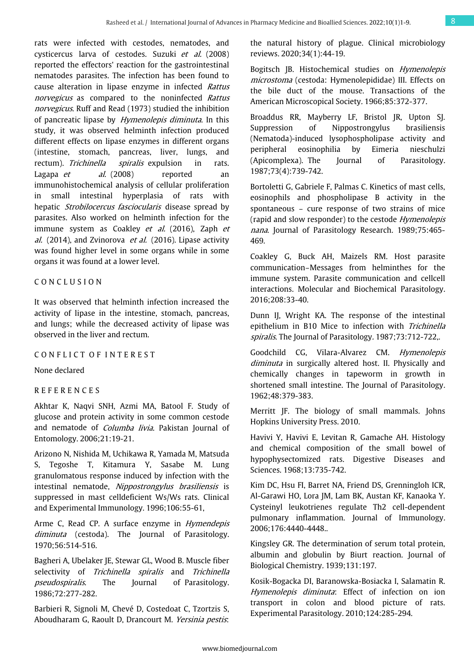rats were infected with cestodes, nematodes, and cysticercus larva of cestodes. Suzuki et al. (2008) reported the effectors' reaction for the gastrointestinal nematodes parasites. The infection has been found to cause alteration in lipase enzyme in infected Rattus norvegicus as compared to the noninfected Rattus norvegicus. Ruff and Read (1973) studied the inhibition of pancreatic lipase by Hymenolepis diminuta. In this study, it was observed helminth infection produced different effects on lipase enzymes in different organs (intestine, stomach, pancreas, liver, lungs, and rectum). Trichinella spiralis expulsion in rats. Lagapa *et al.* (2008) reported an immunohistochemical analysis of cellular proliferation in small intestinal hyperplasia of rats with hepatic *Strobilocercus fasciocularis* disease spread by parasites. Also worked on helminth infection for the immune system as Coakley et al. (2016), Zaph et al. (2014), and Zvinorova *et al.* (2016). Lipase activity was found higher level in some organs while in some organs it was found at a lower level.

# C O N C L U S I O N

It was observed that helminth infection increased the activity of lipase in the intestine, stomach, pancreas, and lungs; while the decreased activity of lipase was observed in the liver and rectum.

#### CONFLICT OF INTEREST

None declared

# R E F E R E N C E S

Akhtar K, Naqvi SNH, Azmi MA, Batool F. Study of glucose and protein activity in some common cestode and nematode of *Columba livia*. Pakistan Journal of Entomology. 2006;21:19-21.

Arizono N, Nishida M, Uchikawa R, Yamada M, Matsuda S, Tegoshe T, Kitamura Y, Sasabe M. Lung granulomatous response induced by infection with the intestinal nematode, Nippostrongylus brasiliensis is suppressed in mast celldeficient Ws/Ws rats. Clinical and Experimental Immunology. 1996;106:55-61,

Arme C, Read CP. A surface enzyme in *Hymendepis* diminuta (cestoda). The Journal of Parasitology. 1970;56:514-516.

Bagheri A, Ubelaker JE, Stewar GL, Wood B. Muscle fiber selectivity of Trichinella spiralis and Trichinella pseudospiralis. The Journal of Parasitology. 1986;72:277-282.

Barbieri R, Signoli M, Chevé D, Costedoat C, Tzortzis S, Aboudharam G, Raoult D, Drancourt M. Yersinia pestis:

the natural history of plague. Clinical microbiology reviews. 2020;34(1):44-19.

Bogitsch JB. Histochemical studies on *Hymenolepis* microstoma (cestoda: Hymenolepididae) III. Effects on the bile duct of the mouse. Transactions of the American Microscopical Society. 1966;85:372-377.

Broaddus RR, Mayberry LF, Bristol JR, Upton SJ. Suppression of Nippostrongylus brasiliensis (Nematoda)-induced lysophospholipase activity and peripheral eosinophilia by Eimeria nieschulzi (Apicomplexa). The Journal of Parasitology. 1987;73(4):739-742.

Bortoletti G, Gabriele F, Palmas C. Kinetics of mast cells, eosinophils and phospholipase B activity in the spontaneous – cure response of two strains of mice (rapid and slow responder) to the cestode Hymenolepis nana. Journal of Parasitology Research. 1989;75:465-469.

Coakley G, Buck AH, Maizels RM. Host parasite communication–Messages from helminthes for the immune system. Parasite communication and cellcell interactions. Molecular and Biochemical Parasitology. 2016;208:33-40.

Dunn IJ, Wright KA. The response of the intestinal epithelium in B10 Mice to infection with Trichinella spiralis. The Journal of Parasitology. 1987;73:712-722,.

Goodchild CG, Vilara-Alvarez CM. Hymenolepis diminuta in surgically altered host. II. Physically and chemically changes in tapeworm in growth in shortened small intestine. The Journal of Parasitology. 1962;48:379-383.

Merritt JF. The biology of small mammals. Johns Hopkins University Press. 2010.

Havivi Y, Havivi E, Levitan R, Gamache AH. Histology and chemical composition of the small bowel of hypophysectomized rats. Digestive Diseases and Sciences. 1968;13:735-742.

Kim DC, Hsu FI, Barret NA, Friend DS, Grenningloh ICR, Al-Garawi HO, Lora JM, Lam BK, Austan KF, Kanaoka Y. Cysteinyl leukotrienes regulate Th2 cell-dependent pulmonary inflammation. Journal of Immunology. 2006;176:4440-4448..

Kingsley GR. The determination of serum total protein, albumin and globulin by Biurt reaction. Journal of Biological Chemistry. 1939;131:197.

Kosik-Bogacka DI, Baranowska-Bosiacka I, Salamatin R. Hymenolepis diminuta: Effect of infection on ion transport in colon and blood picture of rats. Experimental Parasitology. 2010;124:285-294.